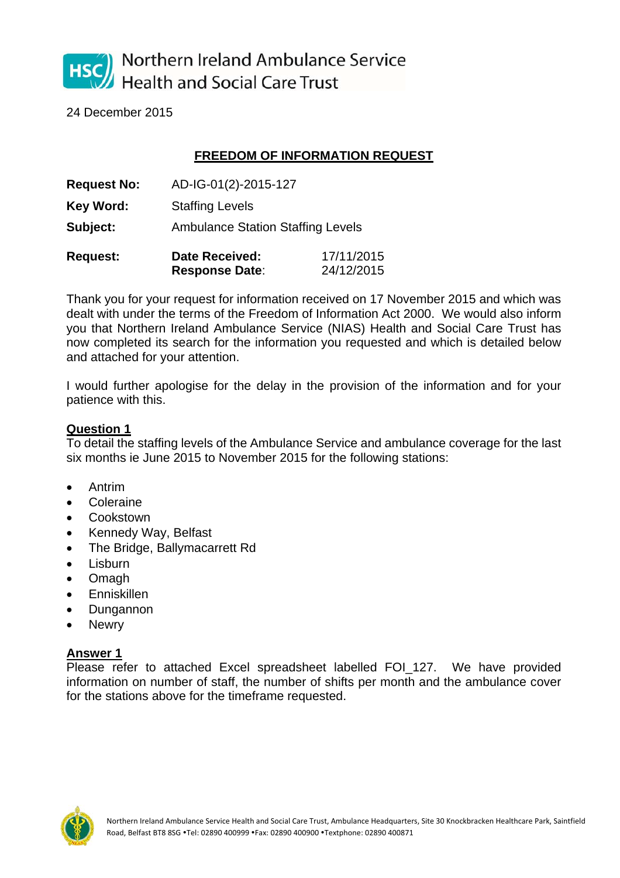

Northern Ireland Ambulance Service **Health and Social Care Trust** 

24 December 2015

## **FREEDOM OF INFORMATION REQUEST**

| <b>Request No:</b> | AD-IG-01(2)-2015-127                           |                          |
|--------------------|------------------------------------------------|--------------------------|
| Key Word:          | <b>Staffing Levels</b>                         |                          |
| Subject:           | <b>Ambulance Station Staffing Levels</b>       |                          |
| <b>Request:</b>    | <b>Date Received:</b><br><b>Response Date:</b> | 17/11/2015<br>24/12/2015 |

Thank you for your request for information received on 17 November 2015 and which was dealt with under the terms of the Freedom of Information Act 2000. We would also inform you that Northern Ireland Ambulance Service (NIAS) Health and Social Care Trust has now completed its search for the information you requested and which is detailed below and attached for your attention.

I would further apologise for the delay in the provision of the information and for your patience with this.

## **Question 1**

To detail the staffing levels of the Ambulance Service and ambulance coverage for the last six months ie June 2015 to November 2015 for the following stations:

- Antrim
- **Coleraine**
- **Cookstown**
- Kennedy Way, Belfast
- The Bridge, Ballymacarrett Rd
- Lisburn
- **Omagh**
- Enniskillen
- Dungannon
- Newry

## **Answer 1**

Please refer to attached Excel spreadsheet labelled FOI 127. We have provided information on number of staff, the number of shifts per month and the ambulance cover for the stations above for the timeframe requested.